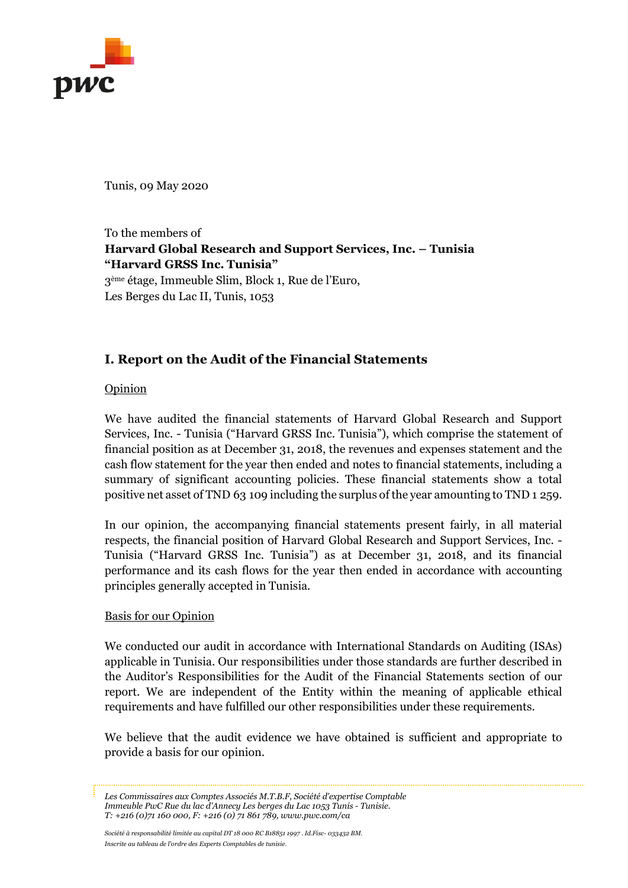

Tunis, 09 May 2020

To the members of Harvard Global Research and Support Services, Inc. – Tunisia "Harvard GRSS Inc. Tunisia" 3ème étage, Immeuble Slim, Block 1, Rue de l'Euro, Les Berges du Lac II, Tunis, 1053

# I. Report on the Audit of the Financial Statements

#### Opinion

We have audited the financial statements of Harvard Global Research and Support Services, Inc. - Tunisia ("Harvard GRSS Inc. Tunisia"), which comprise the statement of financial position as at December 31, 2018, the revenues and expenses statement and the cash flow statement for the year then ended and notes to financial statements, including a summary of significant accounting policies. These financial statements show a total positive net asset of TND 63 109 including the surplus of the year amounting to TND 1 259.

In our opinion, the accompanying financial statements present fairly, in all material respects, the financial position of Harvard Global Research and Support Services, Inc. - Tunisia ("Harvard GRSS Inc. Tunisia") as at December 31, 2018, and its financial performance and its cash flows for the year then ended in accordance with accounting principles generally accepted in Tunisia.

#### Basis for our Opinion

We conducted our audit in accordance with International Standards on Auditing (ISAs) applicable in Tunisia. Our responsibilities under those standards are further described in the Auditor's Responsibilities for the Audit of the Financial Statements section of our report. We are independent of the Entity within the meaning of applicable ethical requirements and have fulfilled our other responsibilities under these requirements.

We believe that the audit evidence we have obtained is sufficient and appropriate to provide a basis for our opinion.

Les Commissaires aux Comptes Associés M.T.B.F, Société d'expertise Comptable Immeuble PwC Rue du lac d'Annecy Les berges du Lac 1053 Tunis - Tunisie. T: +216 (0)71 160 000, F: +216 (0) 71 861 789, www.pwc.com/ca

Société à responsabilité limitée au capital DT 18 000 RC B18851 1997 . Id.Fisc- 033432 BM. Inscrite au tableau de l'ordre des Experts Comptables de tunisie.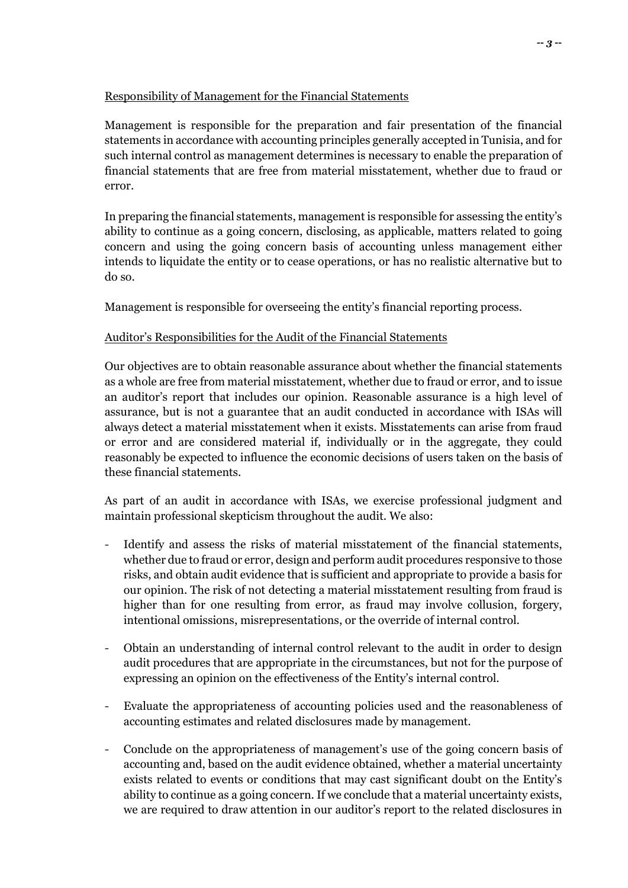### Responsibility of Management for the Financial Statements

Management is responsible for the preparation and fair presentation of the financial statements in accordance with accounting principles generally accepted in Tunisia, and for such internal control as management determines is necessary to enable the preparation of financial statements that are free from material misstatement, whether due to fraud or error.

In preparing the financial statements, management is responsible for assessing the entity's ability to continue as a going concern, disclosing, as applicable, matters related to going concern and using the going concern basis of accounting unless management either intends to liquidate the entity or to cease operations, or has no realistic alternative but to do so.

Management is responsible for overseeing the entity's financial reporting process.

# Auditor's Responsibilities for the Audit of the Financial Statements

Our objectives are to obtain reasonable assurance about whether the financial statements as a whole are free from material misstatement, whether due to fraud or error, and to issue an auditor's report that includes our opinion. Reasonable assurance is a high level of assurance, but is not a guarantee that an audit conducted in accordance with ISAs will always detect a material misstatement when it exists. Misstatements can arise from fraud or error and are considered material if, individually or in the aggregate, they could reasonably be expected to influence the economic decisions of users taken on the basis of these financial statements.

As part of an audit in accordance with ISAs, we exercise professional judgment and maintain professional skepticism throughout the audit. We also:

- Identify and assess the risks of material misstatement of the financial statements, whether due to fraud or error, design and perform audit procedures responsive to those risks, and obtain audit evidence that is sufficient and appropriate to provide a basis for our opinion. The risk of not detecting a material misstatement resulting from fraud is higher than for one resulting from error, as fraud may involve collusion, forgery, intentional omissions, misrepresentations, or the override of internal control.
- Obtain an understanding of internal control relevant to the audit in order to design audit procedures that are appropriate in the circumstances, but not for the purpose of expressing an opinion on the effectiveness of the Entity's internal control.
- Evaluate the appropriateness of accounting policies used and the reasonableness of accounting estimates and related disclosures made by management.
- Conclude on the appropriateness of management's use of the going concern basis of accounting and, based on the audit evidence obtained, whether a material uncertainty exists related to events or conditions that may cast significant doubt on the Entity's ability to continue as a going concern. If we conclude that a material uncertainty exists, we are required to draw attention in our auditor's report to the related disclosures in